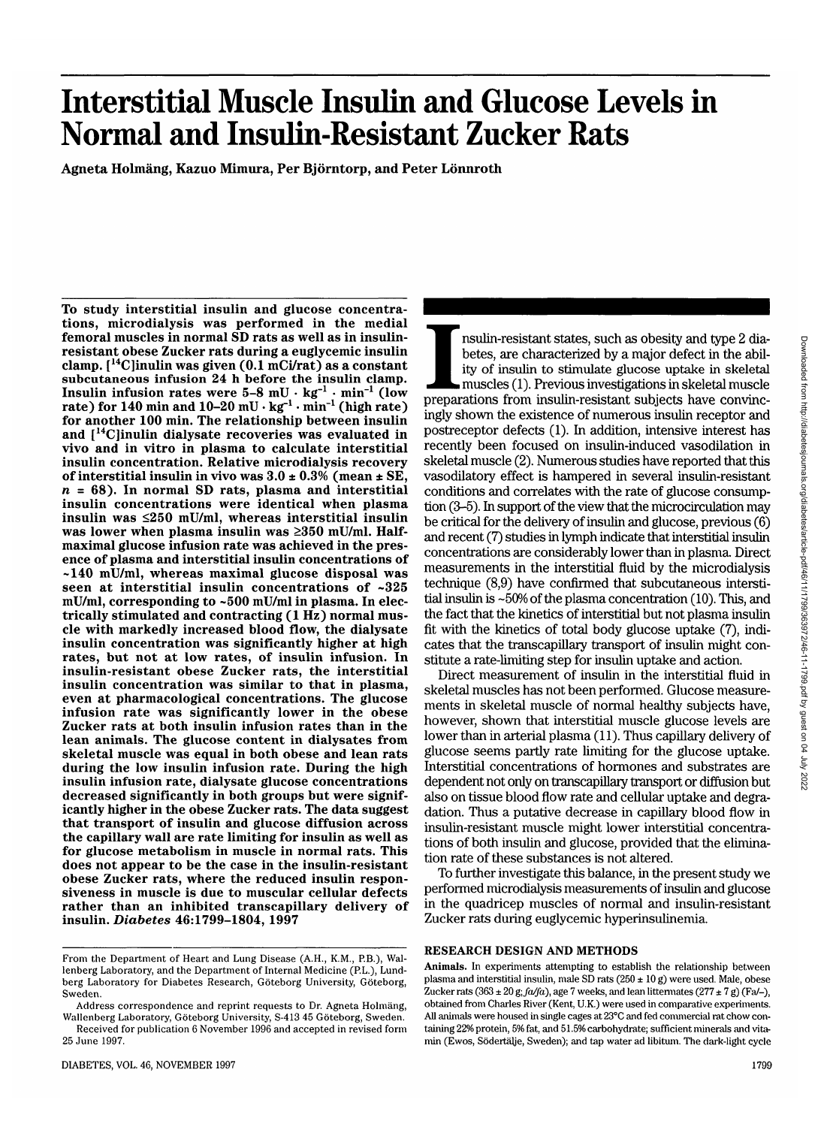# **Interstitial Muscle Insulin and Glucose Levels in Normal and Insulin-Resistant Zucker Rats**

**Agneta Holmang, Kazuo Mimura, Per Bjorntorp, and Peter Lonnroth**

**To study interstitial insulin and glucose concentra- tions, microdialysis was performed in the medial femoral muscles in normal SD rats as well as in insulin- resistant obese Zucker rats during a euglycemic insulin clamp. [14C]inulin was given (0.1 mCi/rat) as a constant subcutaneous infusion 24 h before the insulin clamp. Insulin infusion rates were 5-8 mU • kg"1 • min"1 (low** rate) for  $140$  min and  $10-20$  mU  $\cdot$  kg<sup>-1</sup>  $\cdot$  min<sup>-1</sup> (high rate) **for another 100 min. The relationship between insulin and [I4C]inulin dialysate recoveries was evaluated in vivo and in vitro in plasma to calculate interstitial insulin concentration. Relative microdialysis recovery of interstitial insulin in vivo was 3.0 ± 0.3% (mean ± SE,** *<sup>n</sup>* **= 68). In normal SD rats, plasma and interstitial insulin concentrations were identical when plasma insulin was <250 mU/ml, whereas interstitial insulin was lower when plasma insulin was >350 mU/ml. Half- maximal glucose infusion rate was achieved in the pres- ence of plasma and interstitial insulin concentrations of ~140 mU/ml, whereas maximal glucose disposal was seen at interstitial insulin concentrations of ~325 mU/ml, corresponding to ~500 mU/ml in plasma. In elec- trically stimulated and contracting (1 Hz) normal mus- cle with markedly increased blood flow, the dialysate insulin concentration was significantly higher at high rates, but not at low rates, of insulin infusion. In insulin-resistant obese Zucker rats, the interstitial insulin concentration was similar to that in plasma, even at pharmacological concentrations. The glucose infusion rate was significantly lower in the obese Zucker rats at both insulin infusion rates than in the lean animals. The glucose content in dialysates from skeletal muscle was equal in both obese and lean rats during the low insulin infusion rate. During the high insulin infusion rate, dialysate glucose concentrations decreased significantly in both groups but were signif- icantly higher in the obese Zucker rats. The data suggest that transport of insulin and glucose diffusion across the capillary wall are rate limiting for insulin as well as for glucose metabolism in muscle in normal rats. This does not appear to be the case in the insulin-resistant obese Zucker rats, where the reduced insulin respon- siveness in muscle is due to muscular cellular defects rather than an inhibited transcapillary delivery of insulin.** *Diabetes* **46:1799-1804, 1997**

IMP IN THE INTERNATION IS THE THE INTERNATIONAL TRANSFERING IN A BUT IS USED. THE ISLAM IS THE ISLAM ISLAM ISLAM ISLAM ISLAM ISLAM ISLAM ISLAM ISLAM ISLAM ISLAM ISLAM ISLAM ISLAM ISLAM ISLAM ISLAM ISLAM ISLAM ISLAM ISLAM I nsulin-resistant states, such as obesity and type 2 diabetes, are characterized by a major defect in the ability of insulin to stimulate glucose uptake in skeletal muscles (1). Previous investigations in skeletal muscle ingly shown the existence of numerous insulin receptor and postreceptor defects (1). In addition, intensive interest has recently been focused on insulin-induced vasodilation in skeletal muscle (2). Numerous studies have reported that this vasodilatory effect is hampered in several insulin-resistant conditions and correlates with the rate of glucose consumption (3-5). In support of the view that the microcirculation may be critical for the delivery of insulin and glucose, previous (6) and recent (7) studies in lymph indicate that interstitial insulin concentrations are considerably lower than in plasma. Direct measurements in the interstitial fluid by the microdialysis technique (8,9) have confirmed that subcutaneous interstitial insulin is -50% of the plasma concentration (10). This, and the fact that the kinetics of interstitial but not plasma insulin fit with the kinetics of total body glucose uptake (7), indicates that the transcapillary transport of insulin might constitute a rate-limiting step for insulin uptake and action.

Direct measurement of insulin in the interstitial fluid in skeletal muscles has not been performed. Glucose measurements in skeletal muscle of normal healthy subjects have, however, shown that interstitial muscle glucose levels are lower than in arterial plasma (11). Thus capillary delivery of glucose seems partly rate limiting for the glucose uptake. Interstitial concentrations of hormones and substrates are dependent not only on transcapillary transport or diffusion but also on tissue blood flow rate and cellular uptake and degradation. Thus a putative decrease in capillary blood flow in insulin-resistant muscle might lower interstitial concentrations of both insulin and glucose, provided that the elimination rate of these substances is not altered.

To further investigate this balance, in the present study we performed microdialysis measurements of insulin and glucose in the quadricep muscles of normal and insulin-resistant Zucker rats during euglycemic hyperinsulinemia.

#### **RESEARCH DESIGN AND METHODS**

**Animals.** In experiments attempting to establish the relationship between plasma and interstitial insulin, male SD rats  $(250 \pm 10 \text{ g})$  were used. Male, obese Zucker rats  $(363 \pm 20 \text{ g}; \text{fa/fa})$ , age 7 weeks, and lean littermates  $(277 \pm 7 \text{ g})$  (Fa/-), obtained from Charles River (Kent, U.K.) were used in comparative experiments. All animals were housed in single cages at 23°C and fed commercial rat chow containing 22% protein, 5% fat, and 51.5% carbohydrate; sufficient minerals and vitamin (Ewos, Södertälje, Sweden); and tap water ad libitum. The dark-light cycle

From the Department of Heart and Lung Disease (A.H., K.M., P.B.), Wallenberg Laboratory, and the Department of Internal Medicine (P.L.), Lundberg Laboratory for Diabetes Research, Göteborg University, Göteborg, Sweden.

Address correspondence and reprint requests to Dr. Agneta Holmäng, Wallenberg Laboratory, Goteborg University, S-413 45 Goteborg, Sweden.

Received for publication 6 November 1996 and accepted in revised form 25 June 1997.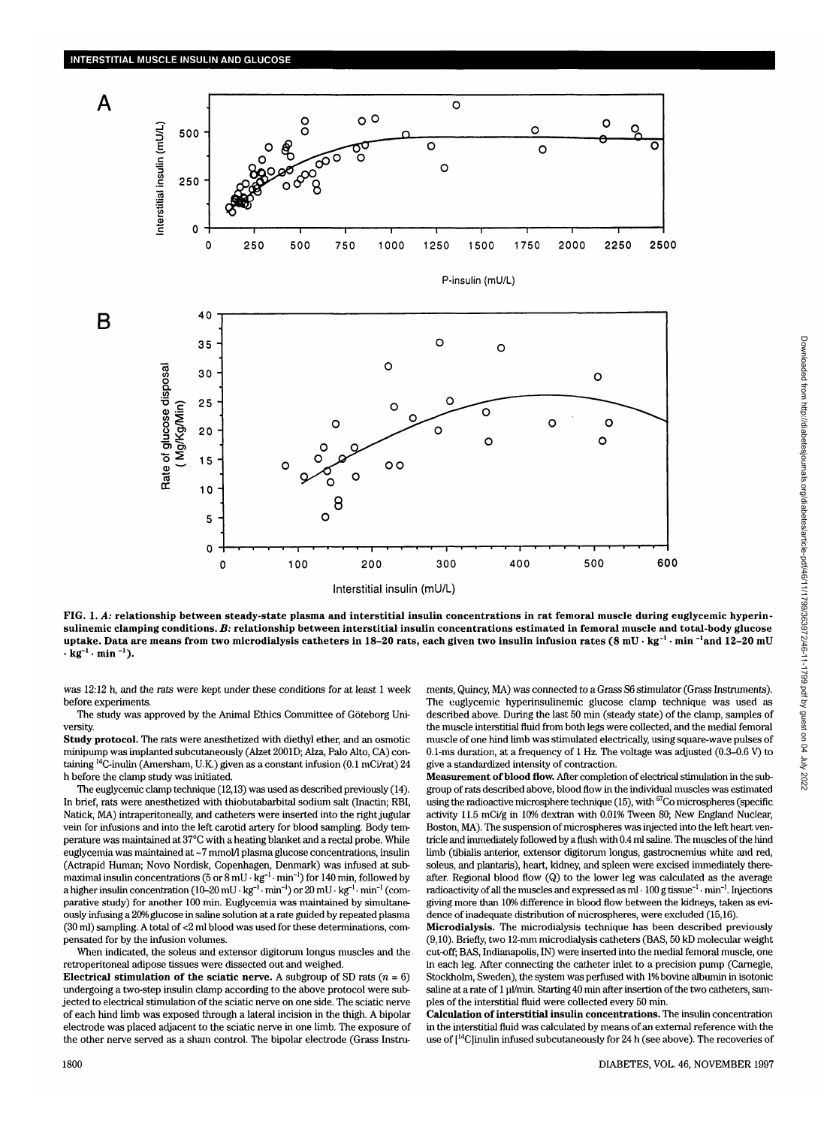

**FIG. 1.** *A:* **relationship between steady-state plasma and interstitial insulin concentrations in rat femoral muscle during euglycemic hyperinsulinemic clamping conditions.** *B:* **relationship between interstitial insulin concentrations estimated in femoral muscle and total-body glucose uptake. Data are means from two microdialysis catheters in 18-20 rats, each given two insulin infusion rates (8 mU • kg'<sup>1</sup> • min "'and 12-20 mU**  $\cdot$ **kg**<sup>-1</sup>  $\cdot$  min<sup>-1</sup>).

was 12:12 h, and the rats were kept under these conditions for at least 1 week before experiments.

The study was approved by the Animal Ethics Committee of Goteborg University.

**Study protocol.** The rats were anesthetized with diethyl ether, and an osmotic minipump was implanted subcutaneously (Alzet 2001D; Alza, Palo Alto, CA) containing 14C-inulin (Amersham, U.K.) given as a constant infusion (0.1 mCi/rat) 24 h before the clamp study was initiated.

The euglycemic clamp technique (12,13) was used as described previously (14). In brief, rats were anesthetized with thiobutabarbital sodium salt (Inactin; RBI, Natick, MA) intraperitoneally, and catheters were inserted into the right jugular vein for infusions and into the left carotid artery for blood sampling. Body temperature was maintained at 37°C with a heating blanket and a rectal probe. While euglycemia was maintained at ~7 mmol/1 plasma glucose concentrations, insulin (Actrapid Human; Novo Nordisk, Copenhagen, Denmark) was infused at submaximal insulin concentrations ( $5$  or  $8$  mU  $\cdot$  kg<sup>-1</sup>  $\cdot$  min<sup>-1</sup>) for 140 min, followed by a higher insulin concentration (10–20 mU  $\cdot$  kg<sup>-1</sup> min<sup>-1</sup>) or 20 mU  $\cdot$  kg<sup>-1</sup> min<sup>-1</sup> (comparative study) for another 100 min. Euglycemia was maintained by simultaneously infusing a 20% glucose in saline solution at a rate guided by repeated plasma (30 ml) sampling. A total of <2 ml blood was used for these determinations, compensated for by the infusion volumes.

When indicated, the soleus and extensor digitorum longus muscles and the retroperitoneal adipose tissues were dissected out and weighed.

**Electrical stimulation of the sciatic nerve.** A subgroup of SD rats  $(n = 6)$ undergoing a two-step insulin clamp according to the above protocol were subjected to electrical stimulation of the sciatic nerve on one side. The sciatic nerve of each hind limb was exposed through a lateral incision in the thigh. A bipolar electrode was placed adjacent to the sciatic nerve in one limb. The exposure of the other nerve served as a sham control. The bipolar electrode (Grass Instruments, Quincy, MA) was connected to a Grass S6 stimulator (Grass Instruments). The euglycemic hyperinsulinemic glucose clamp technique was used as described above. During the last 50 min (steady state) of the clamp, samples of the muscle interstitial fluid from both legs were collected, and the medial femoral muscle of one hind limb was stimulated electrically, using square-wave pulses of 0.1-ms duration, at a frequency of 1 Hz. The voltage was adjusted (0.3-0.6 V) to give a standardized intensity of contraction.

**Measurement of blood flow.** After completion of electrical stimulation in the subgroup of rats described above, blood flow in the individual muscles was estimated using the radioactive microsphere technique (15), with  $57$ Co microspheres (specific activity 11.5 mCi/g in 10% dextran with 0.01% Tween 80; New England Nuclear, Boston, MA). The suspension of microspheres was injected into the left heart ventricle and immediately followed by a flush with 0.4 ml saline. The muscles of the hind limb (tibialis anterior, extensor digitorum longus, gastrocnemius white and red, soleus, and plantaris), heart, kidney, and spleen were excised immediately thereafter. Regional blood flow (Q) to the lower leg was calculated as the average radioactivity of all the muscles and expressed as  $ml \cdot 100$  g tissue<sup>-1</sup>  $\cdot$  min<sup>-1</sup>. Injections giving more than 10% difference in blood flow between the kidneys, taken as evidence of inadequate distribution of microspheres, were excluded (15,16).

**Microdialysis.** The microdialysis technique has been described previously (9,10). Briefly, two 12-mm microdialysis catheters (BAS, 50 kD molecular weight cut-off; BAS, Indianapolis, IN) were inserted into the medial femoral muscle, one in each leg. After connecting the catheter inlet to a precision pump (Carnegie, Stockholm, Sweden), the system was perfused with 1% bovine albumin in isotonic saline at a rate of 1 µl/min. Starting 40 min after insertion of the two catheters, samples of the interstitial fluid were collected every 50 min.

**Calculation of interstitial insulin concentrations.** The insulin concentration in the interstitial fluid was calculated by means of an external reference with the use of  $[14C]$ inulin infused subcutaneously for 24 h (see above). The recoveries of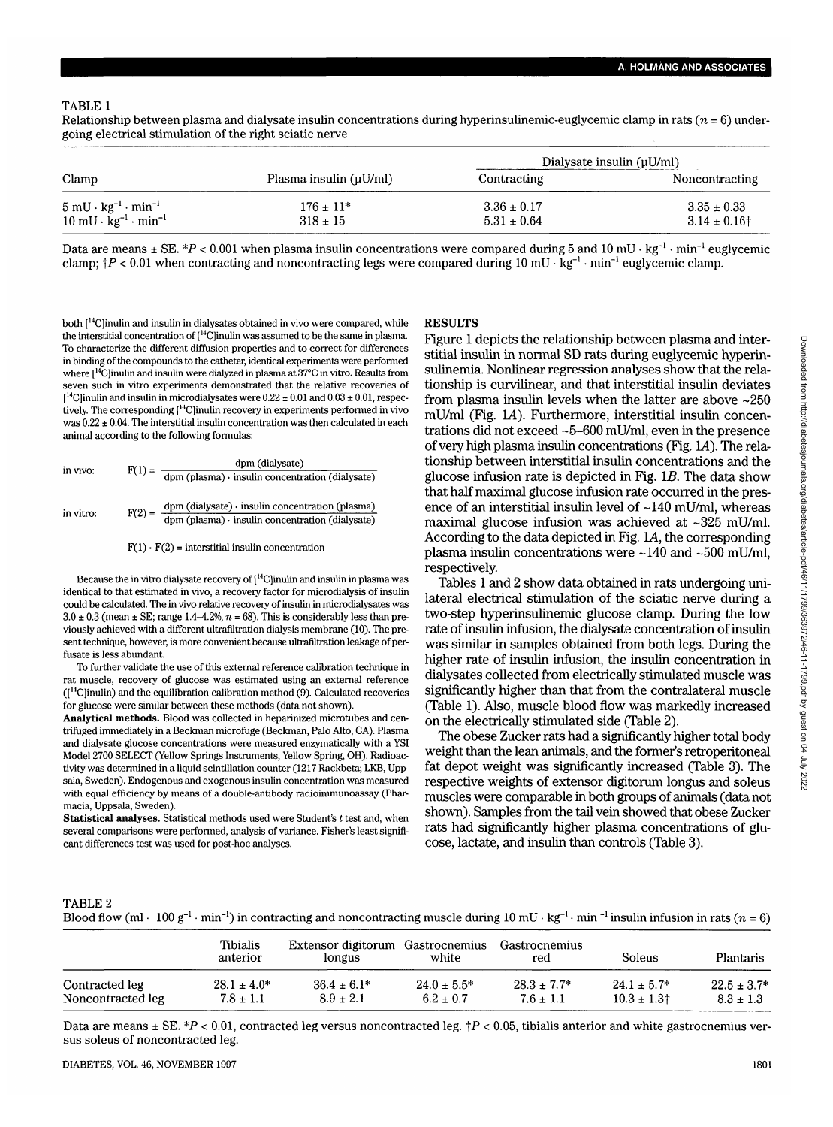Relationship between plasma and dialysate insulin concentrations during hyperinsulinemic-euglycemic clamp in rats *(n* = 6) undergoing electrical stimulation of the right sciatic nerve

|                                                                                                                         |                               |                                    | Dialysate insulin $(\mu U/ml)$       |
|-------------------------------------------------------------------------------------------------------------------------|-------------------------------|------------------------------------|--------------------------------------|
| Clamp                                                                                                                   | Plasma insulin (µU/ml)        | Contracting                        | Noncontracting                       |
| $5 \text{ mU} \cdot \text{kg}^{-1} \cdot \text{min}^{-1}$<br>$10 \text{ mU} \cdot \text{kg}^{-1} \cdot \text{min}^{-1}$ | $176 \pm 11*$<br>$318 \pm 15$ | $3.36 \pm 0.17$<br>$5.31 \pm 0.64$ | $3.35 \pm 0.33$<br>$3.14 \pm 0.16$ † |

Data are means ± SE. \*P < 0.001 when plasma insulin concentrations were compared during 5 and 10 mU  $\cdot$  kg<sup>-1</sup>  $\cdot$  min<sup>-1</sup> euglycemic clamp;  $\dagger P < 0.01$  when contracting and noncontracting legs were compared during  $10$  mU  $\cdot$  Kg<sup>-1</sup>  $\cdot$  min<sup>-1</sup> euglycemic clamp.

both [<sup>14</sup>C]inulin and insulin in dialysates obtained in vivo were compared, while the interstitial concentration of  $[{}^{14}$ C]inulin was assumed to be the same in plasma. To characterize the different diffusion properties and to correct for differences in binding of the compounds to the catheter, identical experiments were performed where [14C]inulin and insulin were dialyzed in plasma at 37°C in vitro. Results from seven such in vitro experiments demonstrated that the relative recoveries of  $1^{14}$ C]inulin and insulin in microdialysates were  $0.22 \pm 0.01$  and  $0.03 \pm 0.01$ , respectively. The corresponding [14C]inulin recovery in experiments performed in vivo was  $0.22 \pm 0.04$ . The interstitial insulin concentration was then calculated in each animal according to the following formulas:

in vivo: 
$$
F(1) = \frac{dpm (dialysate)}{dpm (plasma) \cdot insulin concentration (dialysate)}
$$
  
in vitro: 
$$
F(2) = \frac{dpm (dialysate) \cdot insulin concentration (plasma)}{dpm (plasma) \cdot insulin concentration (dialysate)}
$$

 $F(1) \cdot F(2) =$  interstitial insulin concentration

Because the in vitro dialysate recovery of [14C]inulin and insulin in plasma was identical to that estimated in vivo, a recovery factor for microdialysis of insulin could be calculated. The in vivo relative recovery of insulin in microdialysates was  $3.0 \pm 0.3$  (mean  $\pm$  SE; range 1.4–4.2%,  $n = 68$ ). This is considerably less than previously achieved with a different ultrafiltration dialysis membrane (10). The present technique, however, is more convenient because ultrafiltration leakage of perfusate is less abundant.

To further validate the use of this external reference calibration technique in rat muscle, recovery of glucose was estimated using an external reference  $(1<sup>14</sup>C)$  and the equilibration calibration method  $(9)$ . Calculated recoveries for glucose were similar between these methods (data not shown).

**Analytical methods.** Blood was collected in heparinized microtubes and centrifuged immediately in a Beckman microfuge (Beckman, Palo Alto, CA). Plasma and dialysate glucose concentrations were measured enzymatically with a YSI Model 2700 SELECT (Yellow Springs Instruments, Yellow Spring, OH). Radioactivity was determined in a liquid scintillation counter (1217 Rackbeta; LKB, Uppsala, Sweden). Endogenous and exogenous insulin concentration was measured with equal efficiency by means of a double-antibody radioimmunoassay (Pharmacia, Uppsala, Sweden).

**Statistical analyses.** Statistical methods used were Student's *t* test and, when several comparisons were performed, analysis of variance. Fisher's least significant differences test was used for post-hoc analyses.

#### **RESULTS**

Figure 1 depicts the relationship between plasma and interstitial insulin in normal SD rats during euglycemic hyperinsulinemia. Nonlinear regression analyses show that the relationship is curvilinear, and that interstitial insulin deviates from plasma insulin levels when the latter are above ~250 mU/ml (Fig. LA). Furthermore, interstitial insulin concentrations did not exceed -5-600 mU/ml, even in the presence of very high plasma insulin concentrations (Fig. 1A). The relationship between interstitial insulin concentrations and the glucose infusion rate is depicted in Fig. *IB.* The data show that half maximal glucose infusion rate occurred in the presence of an interstitial insulin level of  $\sim$ 140 mU/ml, whereas maximal glucose infusion was achieved at  $\sim$ 325 mU/ml. According to the data depicted in Fig. L4, the corresponding plasma insulin concentrations were -140 and -500 mU/ml, respectively.

Tables 1 and 2 show data obtained in rats undergoing unilateral electrical stimulation of the sciatic nerve during a two-step hyperinsulinemic glucose clamp. During the low rate of insulin infusion, the dialysate concentration of insulin was similar in samples obtained from both legs. During the higher rate of insulin infusion, the insulin concentration in dialysates collected from electrically stimulated muscle was significantly higher than that from the contralateral muscle (Table 1). Also, muscle blood flow was markedly increased on the electrically stimulated side (Table 2).

The obese Zucker rats had a significantly higher total body weight than the lean animals, and the former's retroperitoneal fat depot weight was significantly increased (Table 3). The respective weights of extensor digitorum longus and soleus muscles were comparable in both groups of animals (data not shown). Samples from the tail vein showed that obese Zucker rats had significantly higher plasma concentrations of glucose, lactate, and insulin than controls (Table 3).

#### TABLE 2

Blood flow (ml · 100 g<sup>-1</sup> · min<sup>-1</sup>) in contracting and noncontracting muscle during 10 mU · kg<sup>-1</sup> · min <sup>-1</sup> insulin infusion in rats (*n* = 6)

|                   | Tibialis<br>anterior | Extensor digitorum Gastrocnemius<br>longus | white            | Gastrocnemius<br>red | <b>Soleus</b>               | <b>Plantaris</b> |
|-------------------|----------------------|--------------------------------------------|------------------|----------------------|-----------------------------|------------------|
| Contracted leg    | $28.1 \pm 4.0^*$     | $36.4 \pm 6.1*$                            | $24.0 \pm 5.5^*$ | $28.3 + 7.7*$        | $24.1 \pm 5.7^*$            | $22.5 \pm 3.7*$  |
| Noncontracted leg | $7.8 \pm 1.1$        | $8.9 \pm 2.1$                              | $6.2 \pm 0.7$    | $7.6 \pm 1.1$        | $10.3 \pm 1.3$ <sup>+</sup> | $8.3 \pm 1.3$    |

Data are means  $\pm$  SE. \*P < 0.01, contracted leg versus noncontracted leg.  $\uparrow$ P < 0.05, tibialis anterior and white gastrocnemius versus soleus of noncontracted leg.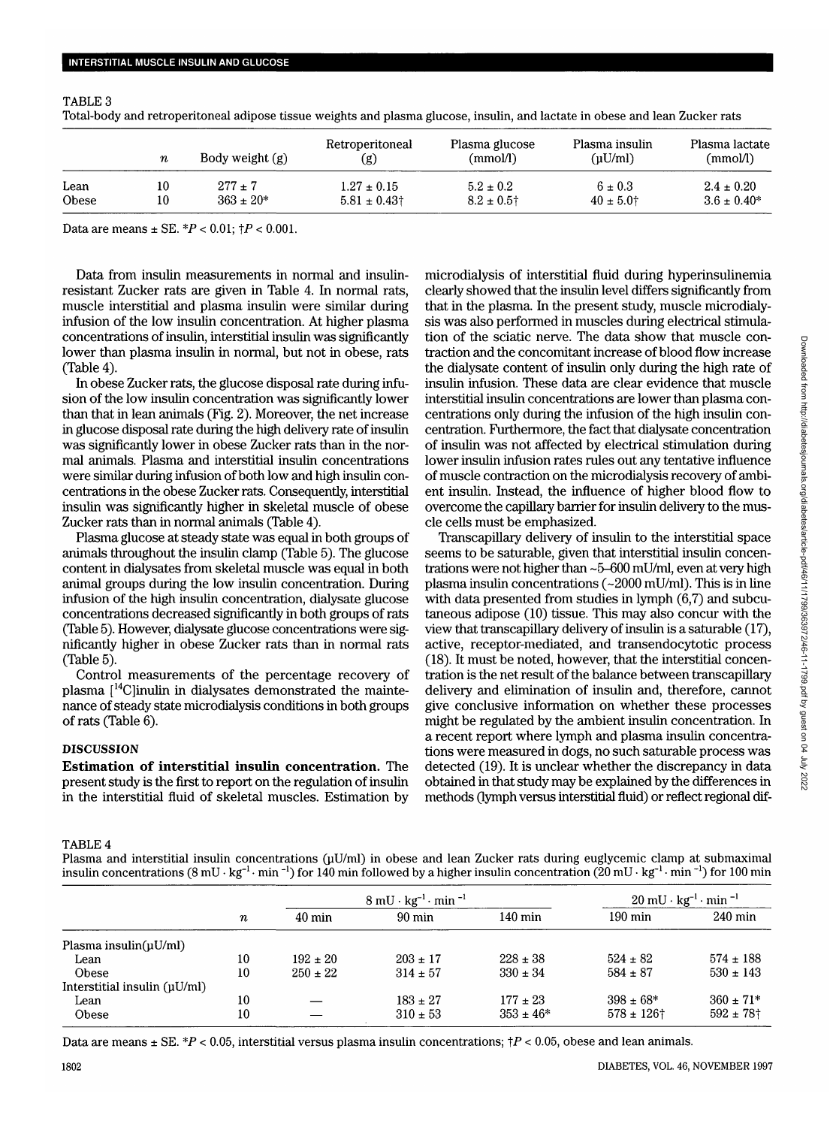# TABLE 3

Total-body and retroperitoneal adipose tissue weights and plasma glucose, insulin, and lactate in obese and lean Zucker rats

|              | $\boldsymbol{n}$ | Body weight (g) | Retroperitoneal<br>(g) | Plasma glucose<br>(mmol/l) | Plasma insulin<br>$(\mu U/ml)$ | Plasma lactate<br>(mmol) |
|--------------|------------------|-----------------|------------------------|----------------------------|--------------------------------|--------------------------|
| Lean         | 10               | $277 + 7$       | $1.27 \pm 0.15$        | $5.2 \pm 0.2$              | $6 \pm 0.3$                    | $2.4 \pm 0.20$           |
| <b>Obese</b> | 10               | $363 \pm 20*$   | $5.81 \pm 0.43$        | $8.2 \pm 0.5$ <sup>+</sup> | $40 \pm 5.0$ †                 | $3.6 \pm 0.40*$          |

Data are means  $\pm$  SE.  $*P < 0.01$ ;  $\uparrow P < 0.001$ .

Data from insulin measurements in normal and insulinresistant Zucker rats are given in Table 4. In normal rats, muscle interstitial and plasma insulin were similar during infusion of the low insulin concentration. At higher plasma concentrations of insulin, interstitial insulin was significantly lower than plasma insulin in normal, but not in obese, rats (Table 4).

In obese Zucker rats, the glucose disposal rate during infusion of the low insulin concentration was significantly lower than that in lean animals (Fig. 2). Moreover, the net increase in glucose disposal rate during the high delivery rate of insulin was significantly lower in obese Zucker rats than in the normal animals. Plasma and interstitial insulin concentrations were similar during infusion of both low and high insulin concentrations in the obese Zucker rats. Consequently, interstitial insulin was significantly higher in skeletal muscle of obese Zucker rats than in normal animals (Table 4).

Plasma glucose at steady state was equal in both groups of animals throughout the insulin clamp (Table 5). The glucose content in dialysates from skeletal muscle was equal in both animal groups during the low insulin concentration. During infusion of the high insulin concentration, dialysate glucose concentrations decreased significantly in both groups of rats (Table 5). However, dialysate glucose concentrations were significantly higher in obese Zucker rats than in normal rats (Table 5).

Control measurements of the percentage recovery of plasma [14C]inulin in dialysates demonstrated the maintenance of steady state microdialysis conditions in both groups of rats (Table 6).

# **DISCUSSION**

**Estimation of interstitial insulin concentration.** The present study is the first to report on the regulation of insulin in the interstitial fluid of skeletal muscles. Estimation by microdialysis of interstitial fluid during hyperinsulinemia clearly showed that the insulin level differs significantly from that in the plasma. In the present study, muscle microdialysis was also performed in muscles during electrical stimulation of the sciatic nerve. The data show that muscle contraction and the concomitant increase of blood flow increase the dialysate content of insulin only during the high rate of insulin infusion. These data are clear evidence that muscle interstitial insulin concentrations are lower than plasma concentrations only during the infusion of the high insulin concentration. Furthermore, the fact that dialysate concentration of insulin was not affected by electrical stimulation during lower insulin infusion rates rules out any tentative influence of muscle contraction on the microdialysis recovery of ambient insulin. Instead, the influence of higher blood flow to overcome the capillary barrier for insulin delivery to the muscle cells must be emphasized.

Transcapillary delivery of insulin to the interstitial space seems to be saturable, given that interstitial insulin concentrations were not higher than  $\sim$  5-600 mU/ml, even at very high plasma insulin concentrations  $(-2000 \text{ mU/ml})$ . This is in line with data presented from studies in lymph  $(6,7)$  and subcutaneous adipose (10) tissue. This may also concur with the view that transcapillary delivery of insulin is a saturable (17), active, receptor-mediated, and transendocytotic process (18). It must be noted, however, that the interstitial concentration is the net result of the balance between transcapillary delivery and elimination of insulin and, therefore, cannot give conclusive information on whether these processes might be regulated by the ambient insulin concentration. In a recent report where lymph and plasma insulin concentrations were measured in dogs, no such saturable process was detected (19). It is unclear whether the discrepancy in data obtained in that study may be explained by the differences in methods (lymph versus interstitial fluid) or reflect regional dif-

# TABLE<sub>4</sub>

Plasma and interstitial insulin concentrations  $(uU/ml)$  in obese and lean Zucker rats during euglycemic clamp at submaximal insulin concentrations (8 mU  $\cdot$  kg<sup>-1</sup>  $\cdot$  min  $^{-1}$ ) for 140 min followed by a higher insulin concentration (20 mU  $\cdot$  kg<sup>-1</sup>  $\cdot$  min  $^{-1}$ ) for 100 min

|                              |           |                  | $8 \text{ mU} \cdot \text{kg}^{-1} \cdot \text{min}^{-1}$ |                   | $20 \text{ mU} \cdot \text{kg}^{-1} \cdot \text{min}^{-1}$ |                         |
|------------------------------|-----------|------------------|-----------------------------------------------------------|-------------------|------------------------------------------------------------|-------------------------|
|                              | $\pmb{n}$ | $40 \text{ min}$ | 90 min                                                    | $140 \text{ min}$ | $190 \,\mathrm{min}$                                       | $240 \text{ min}$       |
| Plasma insulin( $\mu$ U/ml)  |           |                  |                                                           |                   |                                                            |                         |
| Lean                         | 10        | $192 \pm 20$     | $203 \pm 17$                                              | $228 + 38$        | $524 \pm 82$                                               | $574 \pm 188$           |
| <b>Obese</b>                 | 10        | $250 \pm 22$     | $314 \pm 57$                                              | $330 \pm 34$      | $584 \pm 87$                                               | $530 \pm 143$           |
| Interstitial insulin (uU/ml) |           |                  |                                                           |                   |                                                            |                         |
| Lean                         | 10        |                  | $183 \pm 27$                                              | $177 \pm 23$      | $398 \pm 68*$                                              | $360 \pm 71*$           |
| Obese                        | 10        |                  | $310 \pm 53$                                              | $353 \pm 46*$     | $578 \pm 126$ †                                            | $592 + 78$ <sup>+</sup> |

Data are means  $\pm$  SE. \*P < 0.05, interstitial versus plasma insulin concentrations;  $\uparrow$ P < 0.05, obese and lean animals.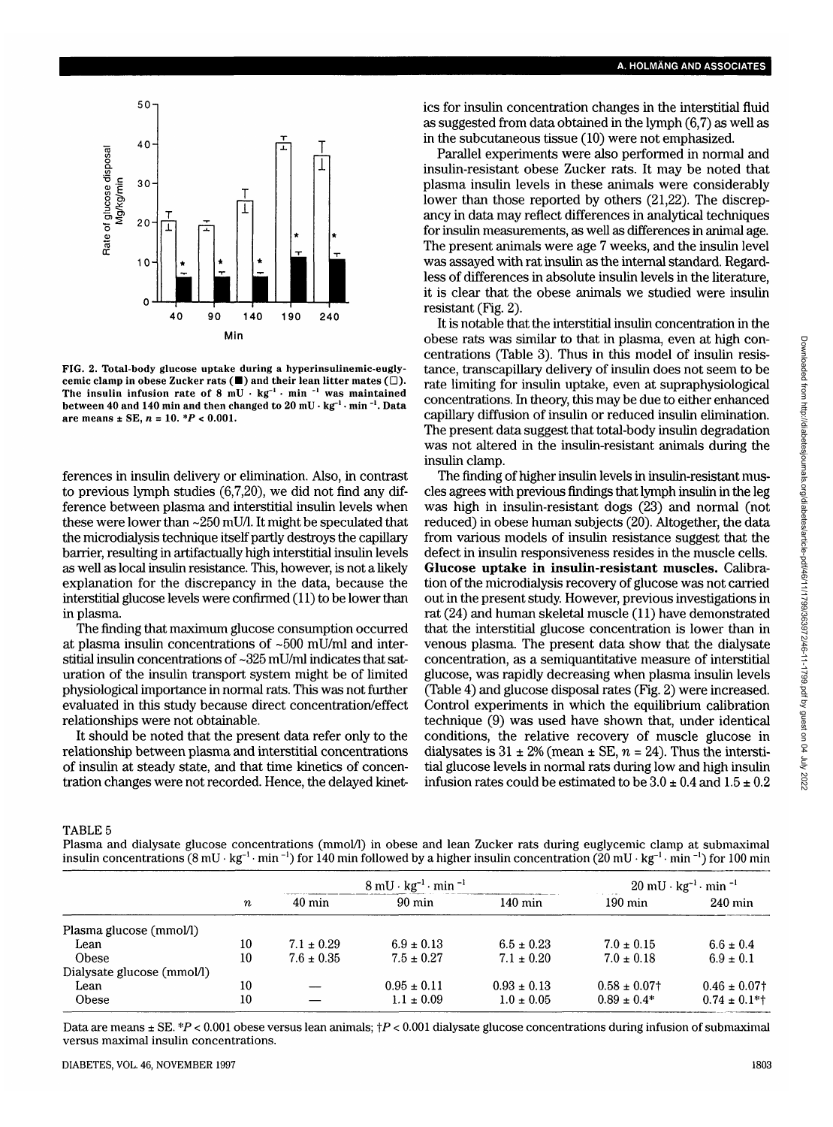

FIG. 2. Total-body glucose uptake during a hyperinsulinemic-euglycemic clamp in obese Zucker rats  $(\blacksquare)$  and their lean litter mates  $(\square)$ . The insulin infusion rate of  $8 \text{ mU} \cdot \text{kg}^{-1} \cdot \text{min}^{-1}$  was maintained between 40 and 140 min and then changed to 20 mU  $\cdot$  kg<sup>-1</sup>  $\cdot$  min <sup>-1</sup>. Data are means ± SE, *n* = 10. \*P < 0.001.

ferences in insulin delivery or elimination. Also, in contrast to previous lymph studies (6,7,20), we did not find any difference between plasma and interstitial insulin levels when these were lower than -250 mU/1. It might be speculated that the microdialysis technique itself partly destroys the capillary barrier, resulting in artifactually high interstitial insulin levels as well as local insulin resistance. This, however, is not a likely explanation for the discrepancy in the data, because the interstitial glucose levels were confirmed (11) to be lower than in plasma.

The finding that maximum glucose consumption occurred at plasma insulin concentrations of -500 mU/ml and interstitial insulin concentrations of -325 mU/ml indicates that saturation of the insulin transport system might be of limited physiological importance in normal rats. This was not further evaluated in this study because direct concentration/effect relationships were not obtainable.

It should be noted that the present data refer only to the relationship between plasma and interstitial concentrations of insulin at steady state, and that time kinetics of concentration changes were not recorded. Hence, the delayed kinetics for insulin concentration changes in the interstitial fluid as suggested from data obtained in the lymph (6,7) as well as in the subcutaneous tissue (10) were not emphasized.

Parallel experiments were also performed in normal and insulin-resistant obese Zucker rats. It may be noted that plasma insulin levels in these animals were considerably lower than those reported by others (21,22). The discrepancy in data may reflect differences in analytical techniques for insulin measurements, as well as differences in animal age. The present animals were age 7 weeks, and the insulin level was assayed with rat insulin as the internal standard. Regardless of differences in absolute insulin levels in the literature, it is clear that the obese animals we studied were insulin resistant (Fig. 2).

It is notable that the interstitial insulin concentration in the obese rats was similar to that in plasma, even at high concentrations (Table 3). Thus in this model of insulin resistance, transcapillary delivery of insulin does not seem to be rate limiting for insulin uptake, even at supraphysiological concentrations. In theory, this may be due to either enhanced capillary diffusion of insulin or reduced insulin elimination. The present data suggest that total-body insulin degradation was not altered in the insulin-resistant animals during the insulin clamp.

The finding of higher insulin levels in insulin-resistant muscles agrees with previous findings that lymph insulin in the leg was high in insulin-resistant dogs (23) and normal (not reduced) in obese human subjects (20). Altogether, the data from various models of insulin resistance suggest that the defect in insulin responsiveness resides in the muscle cells. **Glucose uptake in insulin-resistant muscles.** Calibration of the microdialysis recovery of glucose was not carried out in the present study. However, previous investigations in rat (24) and human skeletal muscle (11) have demonstrated that the interstitial glucose concentration is lower than in venous plasma. The present data show that the dialysate concentration, as a semiquantitative measure of interstitial glucose, was rapidly decreasing when plasma insulin levels (Table 4) and glucose disposal rates (Fig. 2) were increased. Control experiments in which the equilibrium calibration technique (9) was used have shown that, under identical conditions, the relative recovery of muscle glucose in dialysates is  $31 \pm 2\%$  (mean  $\pm$  SE,  $n = 24$ ). Thus the interstitial glucose levels in normal rats during low and high insulin infusion rates could be estimated to be  $3.0 \pm 0.4$  and  $1.5 \pm 0.2$ 

TABLE 5

Plasma and dialysate glucose concentrations (mmol/1) in obese and lean Zucker rats during euglycemic clamp at submaximal insulin concentrations (8 mU  $\cdot$  kg<sup>-1</sup>  $\cdot$  min  $^{-1}$ ) for 140 min followed by a higher insulin concentration (20 mU  $\cdot$  kg<sup>-1</sup>  $\cdot$  min  $^{-1}$ ) for 100 min

|                            |                  | $8 \text{ mU} \cdot \text{kg}^{-1} \cdot \text{min}^{-1}$ |                  |                   | $20 \text{ mU} \cdot \text{kg}^{-1} \cdot \text{min}^{-1}$ |                   |
|----------------------------|------------------|-----------------------------------------------------------|------------------|-------------------|------------------------------------------------------------|-------------------|
|                            | $\boldsymbol{n}$ | $40 \text{ min}$                                          | $90 \text{ min}$ | $140 \text{ min}$ | $190 \text{ min}$                                          | $240 \text{ min}$ |
| Plasma glucose (mmol/l)    |                  |                                                           |                  |                   |                                                            |                   |
| Lean                       | 10               | $7.1 \pm 0.29$                                            | $6.9 \pm 0.13$   | $6.5 \pm 0.23$    | $7.0 \pm 0.15$                                             | $6.6 \pm 0.4$     |
| <b>Obese</b>               | 10               | $7.6 \pm 0.35$                                            | $7.5 \pm 0.27$   | $7.1 \pm 0.20$    | $7.0 \pm 0.18$                                             | $6.9 \pm 0.1$     |
| Dialysate glucose (mmol/l) |                  |                                                           |                  |                   |                                                            |                   |
| Lean                       | 10               |                                                           | $0.95 \pm 0.11$  | $0.93 \pm 0.13$   | $0.58 \pm 0.07$ †                                          | $0.46 \pm 0.07$ † |
| <b>Obese</b>               | 10               |                                                           | $1.1 \pm 0.09$   | $1.0 \pm 0.05$    | $0.89 \pm 0.4*$                                            | $0.74 \pm 0.1$ *† |

Data are means  $\pm$  SE. \*P < 0.001 obese versus lean animals;  $\uparrow$ P < 0.001 dialysate glucose concentrations during infusion of submaximal versus maximal insulin concentrations.